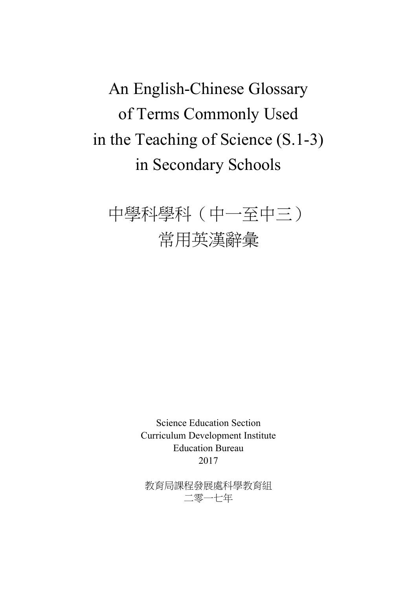An English-Chinese Glossary of Terms Commonly Used in the Teaching of Science (S.1-3) in Secondary Schools

# 中學科學科(中一至中三) 常用英漢辭彙

Science Education Section Curriculum Development Institute Education Bureau 2017

教育局課程發展處科學教育組 二零一七年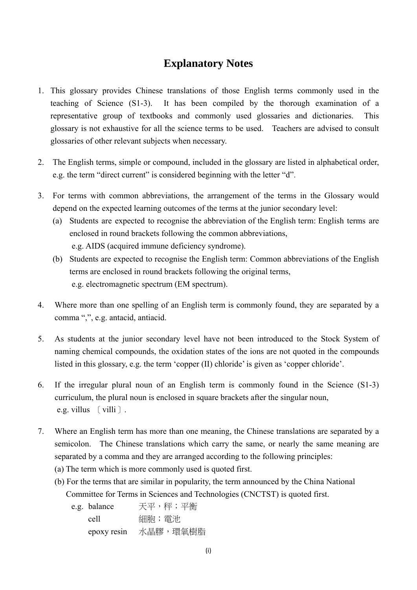#### **Explanatory Notes**

- 1. This glossary provides Chinese translations of those English terms commonly used in the teaching of Science (S1-3). It has been compiled by the thorough examination of a representative group of textbooks and commonly used glossaries and dictionaries. This glossary is not exhaustive for all the science terms to be used. Teachers are advised to consult glossaries of other relevant subjects when necessary.
- 2. The English terms, simple or compound, included in the glossary are listed in alphabetical order, e.g. the term "direct current" is considered beginning with the letter "d".
- 3. For terms with common abbreviations, the arrangement of the terms in the Glossary would depend on the expected learning outcomes of the terms at the junior secondary level:
	- (a) Students are expected to recognise the abbreviation of the English term: English terms are enclosed in round brackets following the common abbreviations, e.g. AIDS (acquired immune deficiency syndrome).
	- (b) Students are expected to recognise the English term: Common abbreviations of the English terms are enclosed in round brackets following the original terms, e.g. electromagnetic spectrum (EM spectrum).
- 4. Where more than one spelling of an English term is commonly found, they are separated by a comma ",", e.g. antacid, antiacid.
- 5. As students at the junior secondary level have not been introduced to the Stock System of naming chemical compounds, the oxidation states of the ions are not quoted in the compounds listed in this glossary, e.g. the term 'copper (II) chloride' is given as 'copper chloride'.
- 6. If the irregular plural noun of an English term is commonly found in the Science (S1-3) curriculum, the plural noun is enclosed in square brackets after the singular noun, e.g. villus 〔villi〕.
- 7. Where an English term has more than one meaning, the Chinese translations are separated by a semicolon. The Chinese translations which carry the same, or nearly the same meaning are separated by a comma and they are arranged according to the following principles:
	- (a) The term which is more commonly used is quoted first.
	- (b) For the terms that are similar in popularity, the term announced by the China National Committee for Terms in Sciences and Technologies (CNCTST) is quoted first.

| e.g. balance | 天平,秤;平衡              |
|--------------|----------------------|
| cell         | 細胞;雷池                |
|              | epoxy resin 水晶膠,環氧樹脂 |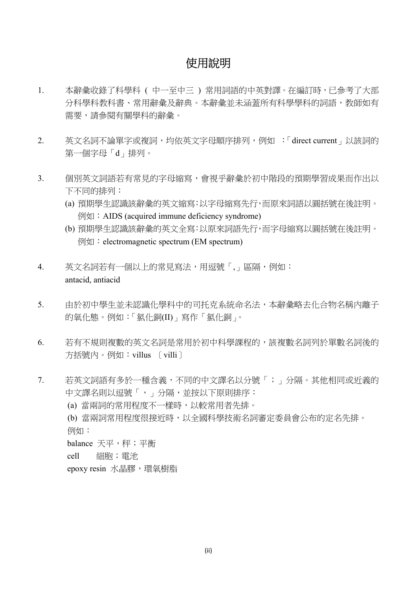#### 使用說明

- 1. 本辭彙收錄了科學科 ( 中一至中三 ) 常用詞語的中英對譯。在編訂時,已參考了大部 分科學科教科書、常用辭彙及辭典。本辭彙並未涵蓋所有科學學科的詞語,教師如有 需要,請參閱有關學科的辭彙。
- 2. 英文名詞不論單字或複詞,均依英文字母順序排列,例如 :「direct current」以該詞的 第一個字母「d」排列。
- 3. 個別英文詞語若有常見的字母縮寫,會視乎辭彙於初中階段的預期學習成果而作出以 下不同的排列:
	- (a) 預期學生認識該辭彙的英文縮寫:以字母縮寫先行,而原來詞語以圓括號在後註明。 例如: AIDS (acquired immune deficiency syndrome)
	- (b) 預期學生認識該辭彙的英文全寫:以原來詞語先行,而字母縮寫以圓括號在後註明。 **例如:electromagnetic spectrum (EM spectrum)**
- 4. 英文名詞若有一個以上的常見寫法,用逗號「, 區隔,例如: antacid, antiacid
- 5. 由於初中學生並未認識化學科中的司托克系統命名法,本辭彙略去化合物名稱內離子 的氧化態。例如:「氯化銅(II)」寫作「氯化銅」。
- 6. 若有不規則複數的英文名詞是常用於初中科學課程的,該複數名詞列於單數名詞後的 方括號內。例如:villus 〔villi〕
- 7. 若英文詞語有多於一種含義,不同的中文譯名以分號「;」分隔。其他相同或近義的 中文譯名則以逗號「,」分隔,並按以下原則排序: (a) 當兩詞的常用程度不一樣時,以較常用者先排。 (b) 當兩詞常用程度很接近時,以全國科學技術名詞審定委員會公布的定名先排。 例如: balance 天平, 秤; 平衡 cell 細胞;電池 epoxy resin 水晶膠,環氧樹脂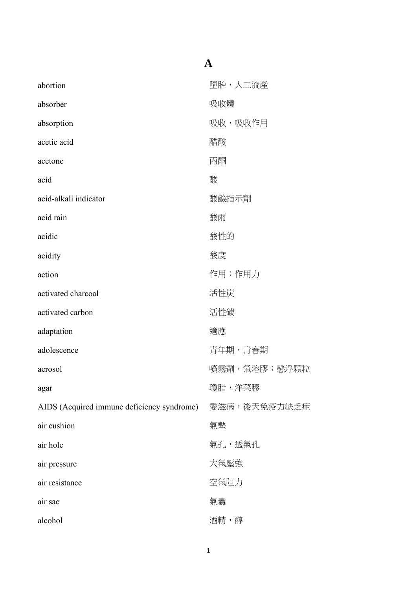#### **A**

| abortion                                   | 墮胎,人工流產      |
|--------------------------------------------|--------------|
| absorber                                   | 吸收體          |
| absorption                                 | 吸收,吸收作用      |
| acetic acid                                | 醋酸           |
| acetone                                    | 丙酮           |
| acid                                       | 酸            |
| acid-alkali indicator                      | 酸鹼指示劑        |
| acid rain                                  | 酸雨           |
| acidic                                     | 酸性的          |
| acidity                                    | 酸度           |
| action                                     | 作用;作用力       |
| activated charcoal                         | 活性炭          |
| activated carbon                           | 活性碳          |
| adaptation                                 | 適應           |
| adolescence                                | 青年期,青春期      |
| aerosol                                    | 噴霧劑,氣溶膠;懸浮顆粒 |
| agar                                       | 瓊脂,洋菜膠       |
| AIDS (Acquired immune deficiency syndrome) | 愛滋病,後天免疫力缺乏症 |
| air cushion                                | 氣墊           |
| air hole                                   | 氣孔,透氣孔       |
| air pressure                               | 大氣壓強         |
| air resistance                             | 空氣阻力         |
| air sac                                    | 氣囊           |
| alcohol                                    | 酒精,醇         |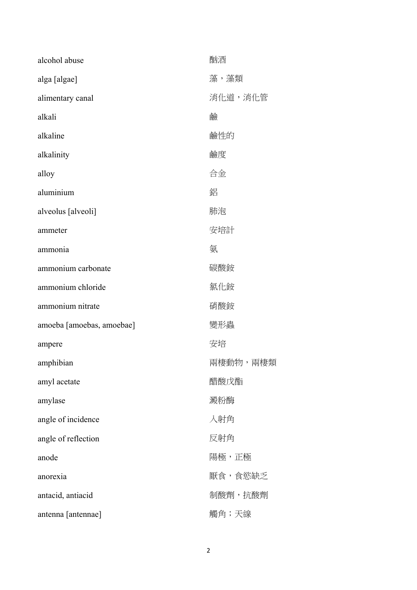| alcohol abuse             | 酗酒       |
|---------------------------|----------|
| alga [algae]              | 藻,藻類     |
| alimentary canal          | 消化道,消化管  |
| alkali                    | 鹼        |
| alkaline                  | 鹼性的      |
| alkalinity                | 鹼度       |
| alloy                     | 合金       |
| aluminium                 | 鋁        |
| alveolus [alveoli]        | 肺泡       |
| ammeter                   | 安培計      |
| ammonia                   | 氨        |
| ammonium carbonate        | 碳酸銨      |
| ammonium chloride         | 氯化銨      |
| ammonium nitrate          | 硝酸銨      |
| amoeba [amoebas, amoebae] | 變形蟲      |
| ampere                    | 安培       |
| amphibian                 | 兩棲動物,兩棲類 |
| amyl acetate              | 醋酸戊酯     |
| amylase                   | 澱粉酶      |
| angle of incidence        | 入射角      |
| angle of reflection       | 反射角      |
| anode                     | 陽極,正極    |
| anorexia                  | 厭食,食慾缺乏  |
| antacid, antiacid         | 制酸劑,抗酸劑  |
| antenna [antennae]        | 觸角;天線    |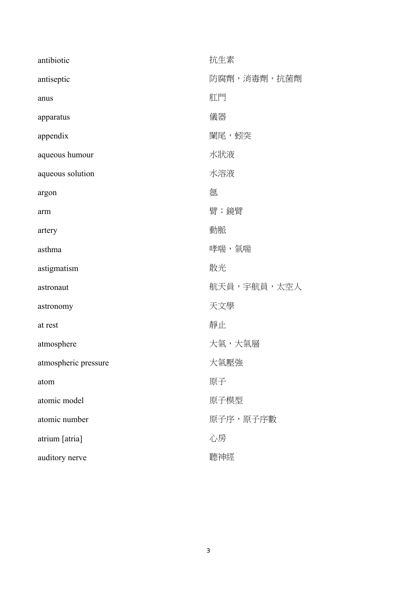| antibiotic           | 抗生素         |
|----------------------|-------------|
| antiseptic           | 防腐劑,消毒劑,抗菌劑 |
| anus                 | 肛門          |
| apparatus            | 儀器          |
| appendix             | 闌尾,蚓突       |
| aqueous humour       | 水狀液         |
| aqueous solution     | 水溶液         |
| argon                | 氥           |
| arm                  | 臂;鏡臂        |
| artery               | 動脈          |
| asthma               | 哮喘,氣喘       |
| astigmatism          | 散光          |
| astronaut            | 航天員,宇航員,太空人 |
| astronomy            | 天文學         |
| at rest              | 靜止          |
| atmosphere           | 大氣,大氣層      |
| atmospheric pressure | 大氣壓強        |
| atom                 | 原子          |
| atomic model         | 原子模型        |
| atomic number        | 原子序,原子序數    |
| atrium [atria]       | 心房          |
| auditory nerve       | 聽神經         |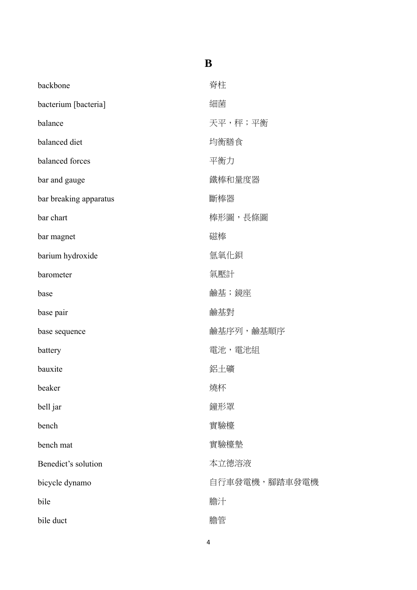| backbone               | 脊柱            |
|------------------------|---------------|
| bacterium [bacteria]   | 細菌            |
| balance                | 天平,秤;平衡       |
| balanced diet          | 均衡膳食          |
| balanced forces        | 平衡力           |
| bar and gauge          | 鐵棒和量度器        |
| bar breaking apparatus | 斷棒器           |
| bar chart              | 棒形圖,長條圖       |
| bar magnet             | 磁棒            |
| barium hydroxide       | 氫氧化鋇          |
| barometer              | 氣壓計           |
| base                   | 鹼基;鏡座         |
| base pair              | 鹼基對           |
| base sequence          | 鹼基序列,鹼基順序     |
| battery                | 電池, 電池組       |
| bauxite                | 鋁土礦           |
| beaker                 | 燒杯            |
| bell jar               | 鐘形罩           |
| bench                  | 實驗檯           |
| bench mat              | 實驗檯墊          |
| Benedict's solution    | 本立德溶液         |
| bicycle dynamo         | 自行車發電機,腳踏車發電機 |
| bile                   | 膽汁            |
| bile duct              | 膽管            |

**B**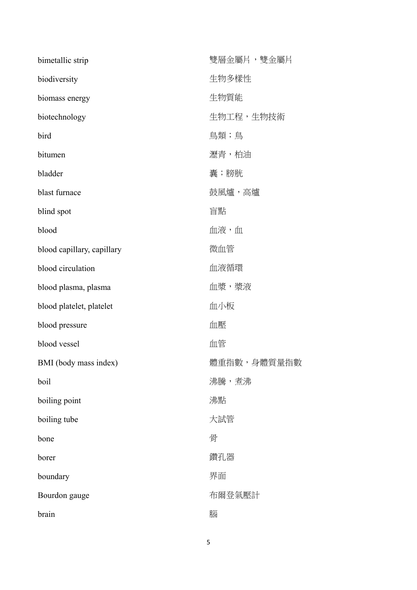| bimetallic strip           | 雙層金屬片,雙金屬片  |
|----------------------------|-------------|
| biodiversity               | 生物多樣性       |
| biomass energy             | 生物質能        |
| biotechnology              | 生物工程,生物技術   |
| bird                       | 鳥類;鳥        |
| bitumen                    | 瀝青,柏油       |
| bladder                    | 囊;膀胱        |
| blast furnace              | 鼓風爐,高爐      |
| blind spot                 | 盲點          |
| blood                      | 血液,血        |
| blood capillary, capillary | 微血管         |
| blood circulation          | 血液循環        |
| blood plasma, plasma       | 血漿,漿液       |
| blood platelet, platelet   | 血小板         |
| blood pressure             | 血壓          |
| blood vessel               | 血管          |
| BMI (body mass index)      | 體重指數,身體質量指數 |
| boil                       | 沸騰,煮沸       |
| boiling point              | 沸點          |
| boiling tube               | 大試管         |
| bone                       | 骨           |
| borer                      | 鑽孔器         |
| boundary                   | 界面          |
| Bourdon gauge              | 布爾登氣壓計      |
| brain                      | 腦           |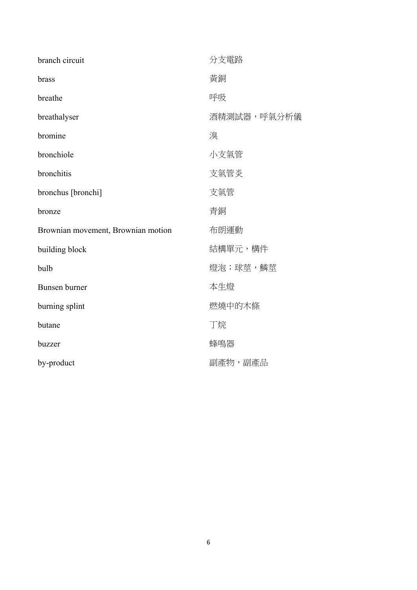| branch circuit                     | 分支電路        |
|------------------------------------|-------------|
| brass                              | 黃銅          |
| breathe                            | 呼吸          |
| breathalyser                       | 酒精測試器,呼氣分析儀 |
| bromine                            | 溴           |
| bronchiole                         | 小支氣管        |
| bronchitis                         | 支氣管炎        |
| bronchus [bronchi]                 | 支氣管         |
| bronze                             | 青銅          |
| Brownian movement, Brownian motion | 布朗運動        |
| building block                     | 結構單元,構件     |
| bulb                               | 燈泡;球莖,鱗莖    |
| Bunsen burner                      | 本生燈         |
| burning splint                     | 燃燒中的木條      |
| butane                             | 丁烷          |
| buzzer                             | 蜂鳴器         |
| by-product                         | 副產物,副產品     |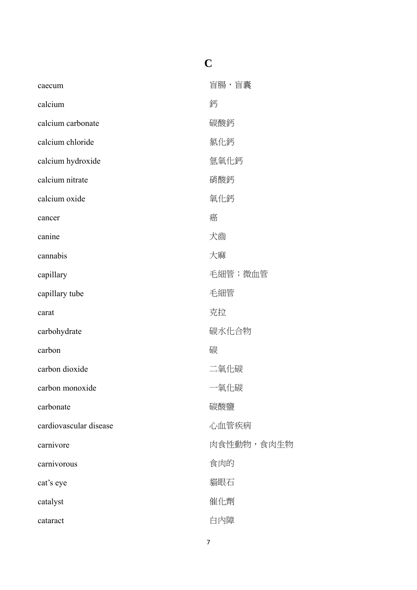# **C**

| caecum                 | 盲腸,盲囊      |
|------------------------|------------|
| calcium                | 鈣          |
| calcium carbonate      | 碳酸鈣        |
| calcium chloride       | 氯化鈣        |
| calcium hydroxide      | 氫氧化鈣       |
| calcium nitrate        | 硝酸鈣        |
| calcium oxide          | 氧化鈣        |
| cancer                 | 癌          |
| canine                 | 犬齒         |
| cannabis               | 大麻         |
| capillary              | 毛細管;微血管    |
| capillary tube         | 毛細管        |
| carat                  | 克拉         |
| carbohydrate           | 碳水化合物      |
| carbon                 | 碳          |
| carbon dioxide         | 二氧化碳       |
| carbon monoxide        | 一氧化碳       |
| carbonate              | 碳酸鹽        |
| cardiovascular disease | 心血管疾病      |
| carnivore              | 肉食性動物,食肉生物 |
| carnivorous            | 食肉的        |
| cat's eye              | 貓眼石        |
| catalyst               | 催化劑        |
| cataract               | 白内障        |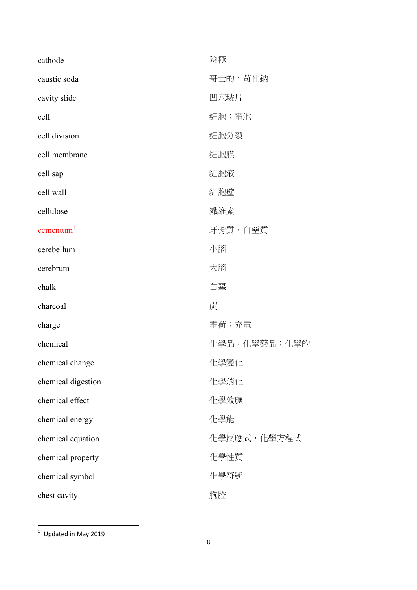| cathode            | 陰極           |
|--------------------|--------------|
| caustic soda       | 哥士的,苛性鈉      |
| cavity slide       | 凹穴玻片         |
| cell               | 細胞; 電池       |
| cell division      | 細胞分裂         |
| cell membrane      | 細胞膜          |
| cell sap           | 細胞液          |
| cell wall          | 細胞壁          |
| cellulose          | 纖維素          |
| $c$ ementum $1$    | 牙骨質,白堊質      |
| cerebellum         | 小腦           |
| cerebrum           | 大腦           |
| chalk              | 白堊           |
| charcoal           | 炭            |
| charge             | 電荷;充電        |
| chemical           | 化學品,化學藥品;化學的 |
| chemical change    | 化學變化         |
| chemical digestion | 化學消化         |
| chemical effect    | 化學效應         |
| chemical energy    | 化學能          |
| chemical equation  | 化學反應式,化學方程式  |
| chemical property  | 化學性質         |
| chemical symbol    | 化學符號         |
| chest cavity       | 胸腔           |

 $1$  Updated in May 2019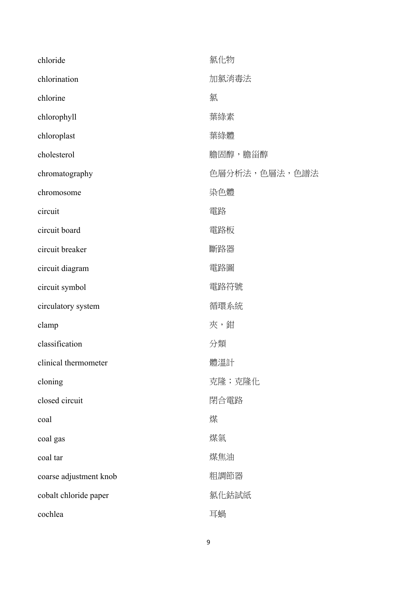| chloride               | 氯化物           |
|------------------------|---------------|
| chlorination           | 加氯消毒法         |
| chlorine               | 氯             |
| chlorophyll            | 葉綠素           |
| chloroplast            | 葉綠體           |
| cholesterol            | 膽固醇,膽甾醇       |
| chromatography         | 色層分析法,色層法,色譜法 |
| chromosome             | 染色體           |
| circuit                | 電路            |
| circuit board          | 電路板           |
| circuit breaker        | 斷路器           |
| circuit diagram        | 電路圖           |
| circuit symbol         | 電路符號          |
| circulatory system     | 循環系統          |
| clamp                  | 夾,鉗           |
| classification         | 分類            |
| clinical thermometer   | 體溫計           |
| cloning                | 克隆;克隆化        |
| closed circuit         | 閉合電路          |
| coal                   | 煤             |
| coal gas               | 煤氣            |
| coal tar               | 煤焦油           |
| coarse adjustment knob | 粗調節器          |
| cobalt chloride paper  | 氯化鈷試紙         |
| cochlea                | 耳蝸            |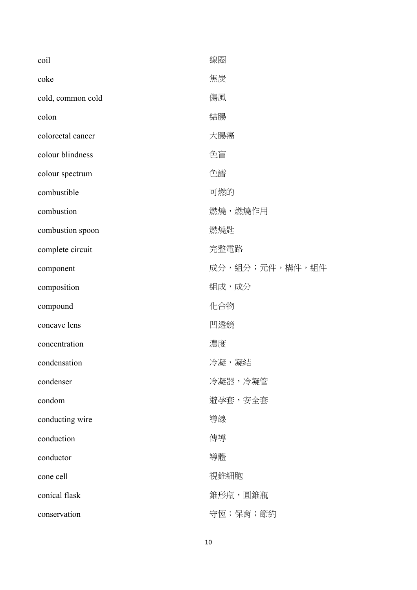| coil              | 線圈             |
|-------------------|----------------|
| coke              | 焦炭             |
| cold, common cold | 傷風             |
| colon             | 結腸             |
| colorectal cancer | 大腸癌            |
| colour blindness  | 色盲             |
| colour spectrum   | 色譜             |
| combustible       | 可燃的            |
| combustion        | 燃燒,燃燒作用        |
| combustion spoon  | 燃燒匙            |
| complete circuit  | 完整電路           |
| component         | 成分,組分;元件,構件,組件 |
| composition       | 組成,成分          |
| compound          | 化合物            |
| concave lens      | 凹透鏡            |
| concentration     | 濃度             |
| condensation      | 冷凝,凝結          |
| condenser         | 冷凝器,冷凝管        |
| condom            | 避孕套,安全套        |
| conducting wire   | 導線             |
| conduction        | 傳導             |
| conductor         | 導體             |
| cone cell         | 視錐細胞           |
| conical flask     | 錐形瓶,圓錐瓶        |
| conservation      | 守恆;保育;節約       |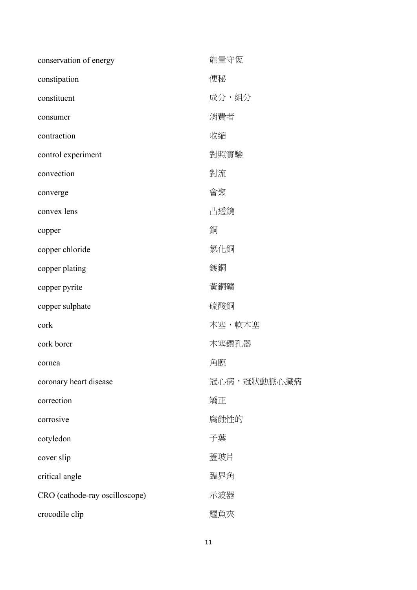| conservation of energy         | 能量守恆        |
|--------------------------------|-------------|
| constipation                   | 便秘          |
| constituent                    | 成分,組分       |
| consumer                       | 消費者         |
| contraction                    | 收縮          |
| control experiment             | 對照實驗        |
| convection                     | 對流          |
| converge                       | 會聚          |
| convex lens                    | 凸透鏡         |
| copper                         | 銅           |
| copper chloride                | 氯化銅         |
| copper plating                 | 鍍銅          |
| copper pyrite                  | 黃銅礦         |
| copper sulphate                | 硫酸銅         |
| cork                           | 木塞,軟木塞      |
| cork borer                     | 木塞鑽孔器       |
| cornea                         | 角膜          |
| coronary heart disease         | 冠心病,冠狀動脈心臟病 |
| correction                     | 矯正          |
| corrosive                      | 腐蝕性的        |
| cotyledon                      | 子葉          |
| cover slip                     | 蓋玻片         |
| critical angle                 | 臨界角         |
| CRO (cathode-ray oscilloscope) | 示波器         |
| crocodile clip                 | 鱷魚夾         |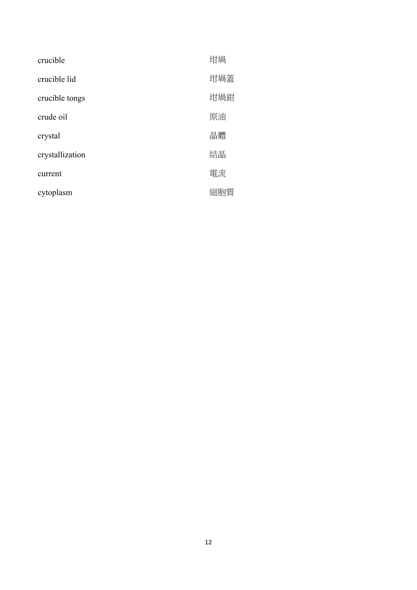| crucible        | 坩堝  |
|-----------------|-----|
| crucible lid    | 坩堝蓋 |
| crucible tongs  | 坩堝鉗 |
| crude oil       | 原油  |
| crystal         | 晶體  |
| crystallization | 結晶  |
| current         | 電流  |
| cytoplasm       | 細胞質 |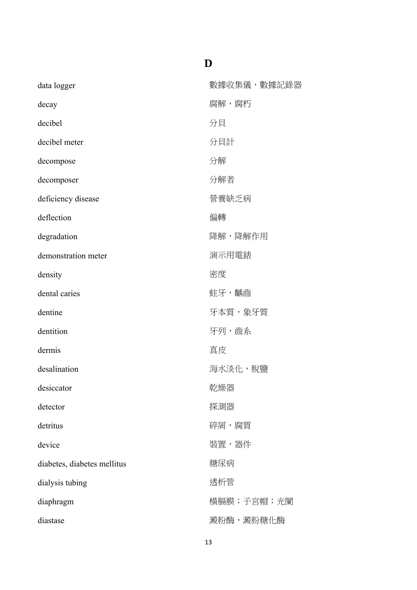| data logger                 | 數據收集儀,數據記錄器 |
|-----------------------------|-------------|
| decay                       | 腐解,腐朽       |
| decibel                     | 分貝          |
| decibel meter               | 分貝計         |
| decompose                   | 分解          |
| decomposer                  | 分解者         |
| deficiency disease          | 營養缺乏病       |
| deflection                  | 偏轉          |
| degradation                 | 降解,降解作用     |
| demonstration meter         | 演示用電錶       |
| density                     | 密度          |
| dental caries               | 蛀牙, 齲齒      |
| dentine                     | 牙本質,象牙質     |
| dentition                   | 牙列,齒系       |
| dermis                      | 真皮          |
| desalination                | 海水淡化,脫鹽     |
| desiccator                  | 乾燥器         |
| detector                    | 探測器         |
| detritus                    | 碎屑,腐質       |
| device                      | 裝置,器件       |
| diabetes, diabetes mellitus | 糖尿病         |
| dialysis tubing             | 透析管         |
| diaphragm                   | 横膈膜;子宮帽;光闌  |
| diastase                    | 澱粉酶,澱粉糖化酶   |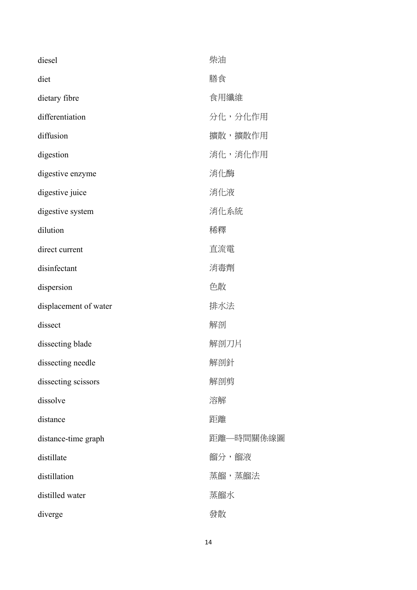| diesel                | 柴油         |
|-----------------------|------------|
| diet                  | 膳食         |
| dietary fibre         | 食用纖維       |
| differentiation       | 分化,分化作用    |
| diffusion             | 擴散,擴散作用    |
| digestion             | 消化,消化作用    |
| digestive enzyme      | 消化酶        |
| digestive juice       | 消化液        |
| digestive system      | 消化系統       |
| dilution              | 稀釋         |
| direct current        | 直流電        |
| disinfectant          | 消毒劑        |
| dispersion            | 色散         |
| displacement of water | 排水法        |
| dissect               | 解剖         |
| dissecting blade      | 解剖刀片       |
| dissecting needle     | 解剖針        |
| dissecting scissors   | 解剖剪        |
| dissolve              | 溶解         |
| distance              | 距離         |
| distance-time graph   | 距離——時間關係線圖 |
| distillate            | 餾分,餾液      |
| distillation          | 蒸餾,蒸餾法     |
| distilled water       | 蒸餾水        |
| diverge               | 發散         |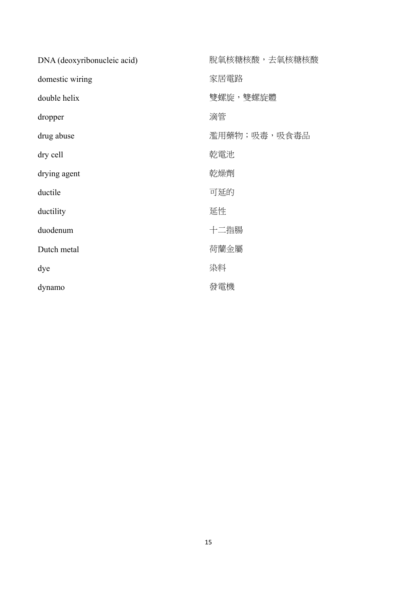| DNA (deoxyribonucleic acid) | 脫氧核糖核酸,去氧核糖核酸 |
|-----------------------------|---------------|
| domestic wiring             | 家居電路          |
| double helix                | 雙螺旋,雙螺旋體      |
| dropper                     | 滴管            |
| drug abuse                  | 濫用藥物;吸毒,吸食毒品  |
| dry cell                    | 乾電池           |
| drying agent                | 乾燥劑           |
| ductile                     | 可延的           |
| ductility                   | 延性            |
| duodenum                    | 十二指腸          |
| Dutch metal                 | 荷蘭金屬          |
| dye                         | 染料            |
| dynamo                      | 發電機           |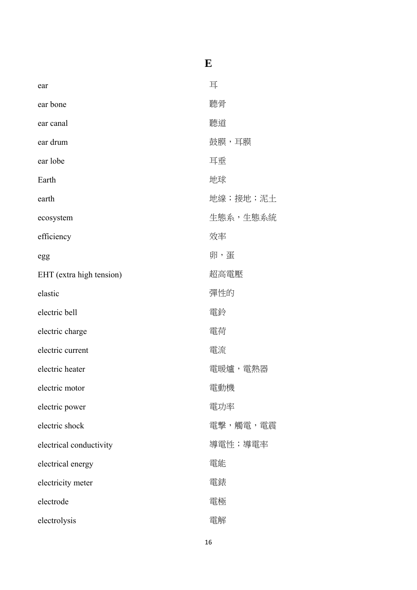| ear                      | 耳        |
|--------------------------|----------|
| ear bone                 | 聽骨       |
| ear canal                | 聽道       |
| ear drum                 | 鼓膜,耳膜    |
| ear lobe                 | 耳垂       |
| Earth                    | 地球       |
| earth                    | 地線;接地;泥土 |
| ecosystem                | 生態系,生態系統 |
| efficiency               | 效率       |
| egg                      | 卵,蛋      |
| EHT (extra high tension) | 超高電壓     |
| elastic                  | 彈性的      |
| electric bell            | 電鈴       |
| electric charge          | 電荷       |
| electric current         | 電流       |
| electric heater          | 電暖爐,電熱器  |
| electric motor           | 電動機      |
| electric power           | 電功率      |
| electric shock           | 電擊,觸電,電震 |
| electrical conductivity  | 導電性;導電率  |
| electrical energy        | 電能       |
| electricity meter        | 電錶       |
| electrode                | 電極       |
| electrolysis             | 電解       |

#### **E**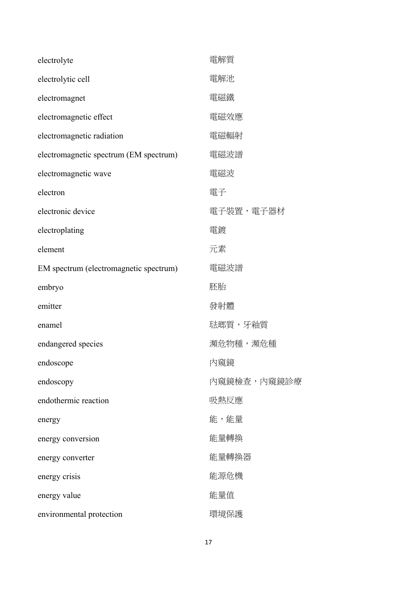| electrolyte                            | 電解質         |
|----------------------------------------|-------------|
| electrolytic cell                      | 電解池         |
| electromagnet                          | 電磁鐵         |
| electromagnetic effect                 | 電磁效應        |
| electromagnetic radiation              | 電磁輻射        |
| electromagnetic spectrum (EM spectrum) | 電磁波譜        |
| electromagnetic wave                   | 電磁波         |
| electron                               | 電子          |
| electronic device                      | 電子裝置,電子器材   |
| electroplating                         | 電鍍          |
| element                                | 元素          |
| EM spectrum (electromagnetic spectrum) | 電磁波譜        |
| embryo                                 | 胚胎          |
| emitter                                | 發射體         |
| enamel                                 | 琺瑯質,牙釉質     |
| endangered species                     | 瀕危物種,瀕危種    |
| endoscope                              | 內窺鏡         |
| endoscopy                              | 內窺鏡檢查,內窺鏡診療 |
| endothermic reaction                   | 吸熱反應        |
| energy                                 | 能,能量        |
| energy conversion                      | 能量轉換        |
| energy converter                       | 能量轉換器       |
| energy crisis                          | 能源危機        |
| energy value                           | 能量值         |
| environmental protection               | 環境保護        |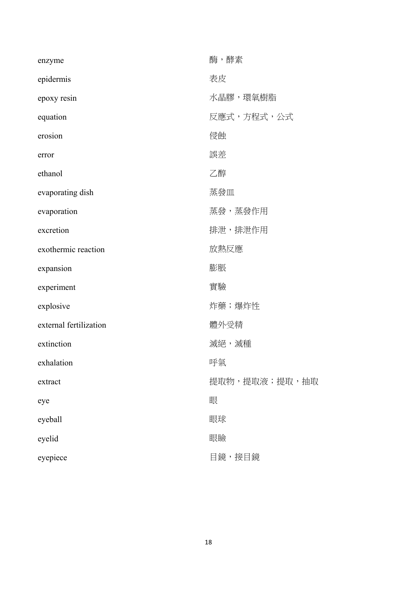| enzyme                 | 酶,酵素          |
|------------------------|---------------|
| epidermis              | 表皮            |
| epoxy resin            | 水晶膠,環氧樹脂      |
| equation               | 反應式,方程式,公式    |
| erosion                | 侵蝕            |
| error                  | 誤差            |
| ethanol                | 乙醇            |
| evaporating dish       | 蒸發皿           |
| evaporation            | 蒸發,蒸發作用       |
| excretion              | 排泄,排泄作用       |
| exothermic reaction    | 放熱反應          |
| expansion              | 膨脹            |
| experiment             | 實驗            |
| explosive              | 炸藥;爆炸性        |
| external fertilization | 體外受精          |
| extinction             | 滅絕,滅種         |
| exhalation             | 呼氣            |
| extract                | 提取物,提取液;提取,抽取 |
| eye                    | 眼             |
| eyeball                | 眼球            |
| eyelid                 | 眼瞼            |
| eyepiece               | 目鏡,接目鏡        |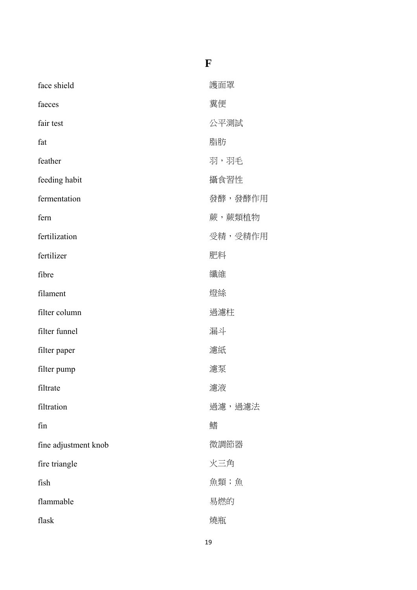| face shield          | 護面罩     |
|----------------------|---------|
| faeces               | 糞便      |
| fair test            | 公平測試    |
| fat                  | 脂肪      |
| feather              | 羽,羽毛    |
| feeding habit        | 攝食習性    |
| fermentation         | 發酵,發酵作用 |
| fern                 | 蕨,蕨類植物  |
| fertilization        | 受精,受精作用 |
| fertilizer           | 肥料      |
| fibre                | 纖維      |
| filament             | 燈絲      |
| filter column        | 過濾柱     |
| filter funnel        | 漏斗      |
| filter paper         | 濾紙      |
| filter pump          | 濾泵      |
| filtrate             | 濾液      |
| filtration           | 過濾,過濾法  |
| fin                  | 鰭       |
| fine adjustment knob | 微調節器    |
| fire triangle        | 火三角     |
| fish                 | 魚類;魚    |
| flammable            | 易燃的     |
| flask                | 燒瓶      |

#### **F**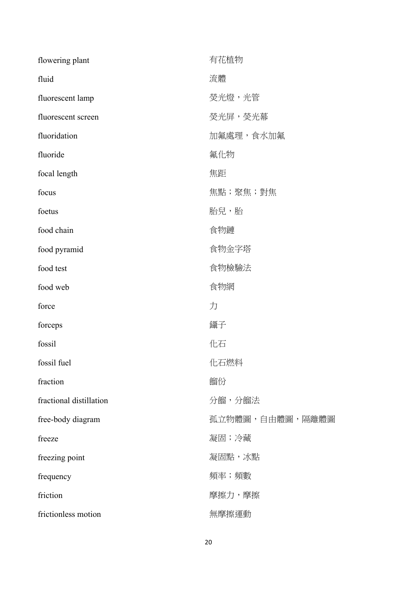| flowering plant         | 有花植物            |
|-------------------------|-----------------|
| fluid                   | 流體              |
| fluorescent lamp        | 熒光燈,光管          |
| fluorescent screen      | 熒光屏, 熒光幕        |
| fluoridation            | 加氟處理,食水加氟       |
| fluoride                | 氟化物             |
| focal length            | 焦距              |
| focus                   | 焦點;聚焦;對焦        |
| foetus                  | 胎兒,胎            |
| food chain              | 食物鏈             |
| food pyramid            | 食物金字塔           |
| food test               | 食物檢驗法           |
| food web                | 食物網             |
| force                   | 力               |
| forceps                 | 鑷子              |
| fossil                  | 化石              |
| fossil fuel             | 化石燃料            |
| fraction                | 餾份              |
| fractional distillation | 分餾,分餾法          |
| free-body diagram       | 孤立物體圖,自由體圖,隔離體圖 |
| freeze                  | 凝固;冷藏           |
| freezing point          | 凝固點,冰點          |
| frequency               | 頻率;頻數           |
| friction                | 摩擦力,摩擦          |
| frictionless motion     | 無摩擦運動           |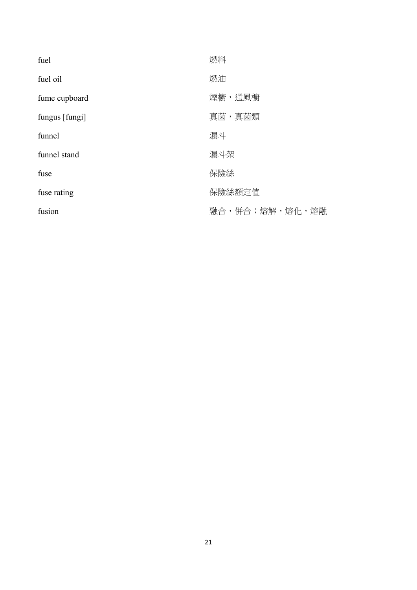| fuel           | 燃料             |
|----------------|----------------|
| fuel oil       | 燃油             |
| fume cupboard  | 煙櫥,通風櫥         |
| fungus [fungi] | 真菌,真菌類         |
| funnel         | 漏斗             |
| funnel stand   | 漏斗架            |
| fuse           | 保險絲            |
| fuse rating    | 保險絲額定值         |
| fusion         | 融合,併合;熔解,熔化,熔融 |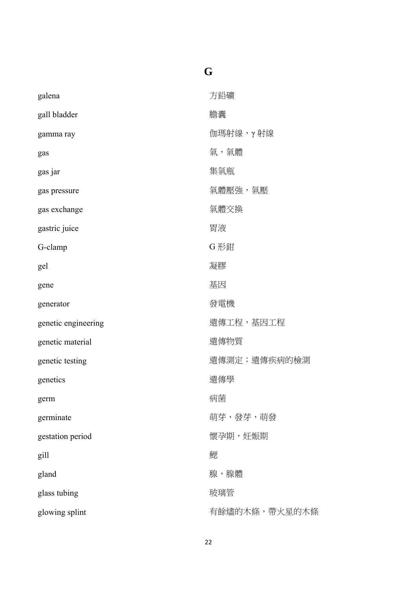## **G**

| galena              | 方鉛礦           |
|---------------------|---------------|
| gall bladder        | 膽囊            |
| gamma ray           | 伽瑪射線,γ射線      |
| gas                 | 氣,氣體          |
| gas jar             | 集氣瓶           |
| gas pressure        | 氣體壓強,氣壓       |
| gas exchange        | 氣體交換          |
| gastric juice       | 胃液            |
| G-clamp             | G 形鉗          |
| gel                 | 凝膠            |
| gene                | 基因            |
| generator           | 發電機           |
| genetic engineering | 遺傳工程,基因工程     |
| genetic material    | 遺傳物質          |
| genetic testing     | 遺傳測定; 遺傳疾病的檢測 |
| genetics            | 遺傳學           |
| germ                | 病菌            |
| germinate           | 萌芽,發芽,萌發      |
| gestation period    | 懷孕期,妊娠期       |
| gill                | 鰓             |
| gland               | 腺,腺體          |
| glass tubing        | 玻璃管           |
| glowing splint      | 有餘燼的木條,帶火星的木條 |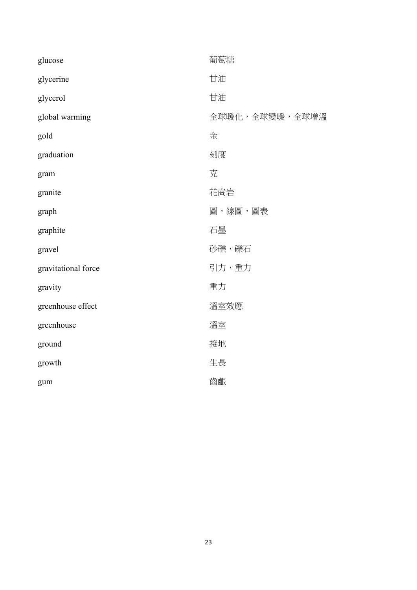| glucose             | 葡萄糖            |
|---------------------|----------------|
| glycerine           | 甘油             |
| glycerol            | 甘油             |
| global warming      | 全球暖化,全球變暖,全球增溫 |
| gold                | 金              |
| graduation          | 刻度             |
| gram                | 克              |
| granite             | 花崗岩            |
| graph               | 圖,線圖,圖表        |
| graphite            | 石墨             |
| gravel              | 砂礫,礫石          |
| gravitational force | 引力,重力          |
| gravity             | 重力             |
| greenhouse effect   | 溫室效應           |
| greenhouse          | 溫室             |
| ground              | 接地             |
| growth              | 生長             |
| gum                 | 齒齦             |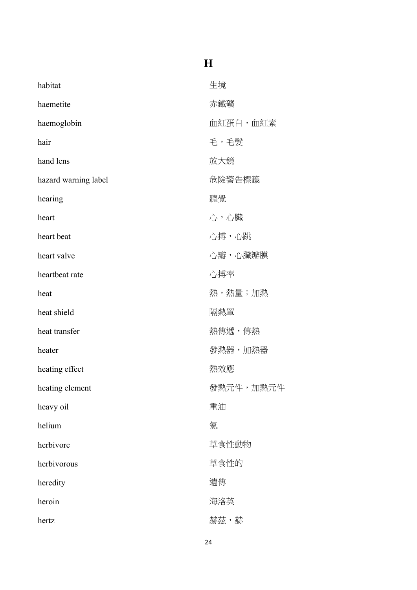#### **H**

| habitat              | 生境        |
|----------------------|-----------|
| haemetite            | 赤鐵礦       |
| haemoglobin          | 血紅蛋白,血紅素  |
| hair                 | 毛,毛髮      |
| hand lens            | 放大鏡       |
| hazard warning label | 危險警告標籤    |
| hearing              | 聽覺        |
| heart                | 心,心臟      |
| heart beat           | 心搏,心跳     |
| heart valve          | 心瓣,心臟瓣膜   |
| heartbeat rate       | 心搏率       |
| heat                 | 熱,熱量;加熱   |
| heat shield          | 隔熱罩       |
| heat transfer        | 熱傳遞,傳熱    |
| heater               | 發熱器,加熱器   |
| heating effect       | 熱效應       |
| heating element      | 發熱元件,加熱元件 |
| heavy oil            | 重油        |
| helium               | 氦         |
| herbivore            | 草食性動物     |
| herbivorous          | 草食性的      |
| heredity             | 遺傳        |
| heroin               | 海洛英       |
| hertz                | 赫茲,赫      |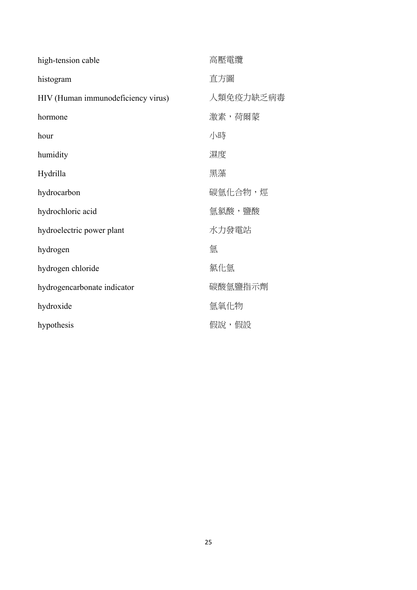| high-tension cable                 | 高壓電纜      |
|------------------------------------|-----------|
| histogram                          | 直方圖       |
| HIV (Human immunodeficiency virus) | 人類免疫力缺乏病毒 |
| hormone                            | 激素,荷爾蒙    |
| hour                               | 小時        |
| humidity                           | 濕度        |
| Hydrilla                           | 黑藻        |
| hydrocarbon                        | 碳氫化合物,烴   |
| hydrochloric acid                  | 氫氯酸,鹽酸    |
| hydroelectric power plant          | 水力發電站     |
| hydrogen                           | 氫         |
| hydrogen chloride                  | 氯化氫       |
| hydrogencarbonate indicator        | 碳酸氫鹽指示劑   |
| hydroxide                          | 氫氧化物      |
| hypothesis                         | 假說,假設     |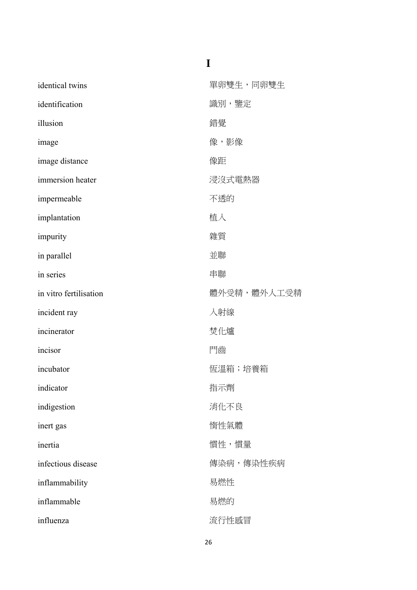**I** 

| identical twins        | 單卵雙生,同卵雙生   |
|------------------------|-------------|
| identification         | 識別,鑒定       |
| illusion               | 錯覺          |
| image                  | 像,影像        |
| image distance         | 像距          |
| immersion heater       | 浸沒式電熱器      |
| impermeable            | 不透的         |
| implantation           | 植入          |
| impurity               | 雜質          |
| in parallel            | 並聯          |
| in series              | 串聯          |
| in vitro fertilisation | 體外受精,體外人工受精 |
| incident ray           | 入射線         |
| incinerator            | 焚化爐         |
| incisor                | 門齒          |
| incubator              | 恆溫箱;培養箱     |
| indicator              | 指示劑         |
| indigestion            | 消化不良        |
| inert gas              | 惰性氣體        |
| inertia                | 慣性,慣量       |
| infectious disease     | 傳染病,傳染性疾病   |
| inflammability         | 易燃性         |
| inflammable            | 易燃的         |
| influenza              | 流行性感冒       |
|                        |             |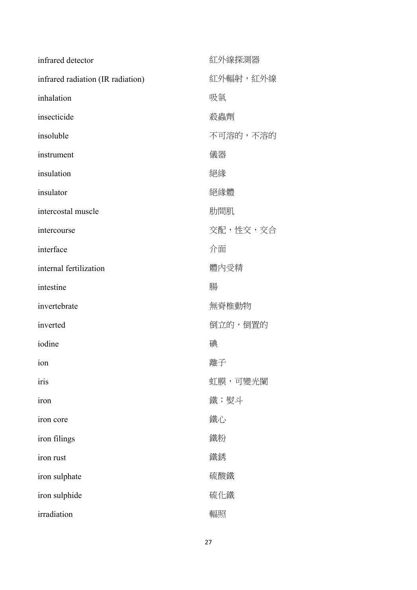| infrared detector                 | 紅外線探測器   |
|-----------------------------------|----------|
| infrared radiation (IR radiation) | 紅外輻射,紅外線 |
| inhalation                        | 吸氣       |
| insecticide                       | 殺蟲劑      |
| insoluble                         | 不可溶的,不溶的 |
| instrument                        | 儀器       |
| insulation                        | 絕緣       |
| insulator                         | 絕緣體      |
| intercostal muscle                | 肋間肌      |
| intercourse                       | 交配,性交,交合 |
| interface                         | 介面       |
| internal fertilization            | 體內受精     |
| intestine                         | 腸        |
| invertebrate                      | 無脊椎動物    |
| inverted                          | 倒立的,倒置的  |
| iodine                            | 碘        |
| ion                               | 離子       |
| iris                              | 虹膜,可變光闌  |
| iron                              | 鐵;熨斗     |
| iron core                         | 鐵心       |
| iron filings                      | 鐵粉       |
| iron rust                         | 鐵銹       |
| iron sulphate                     | 硫酸鐵      |
| iron sulphide                     | 硫化鐵      |
| irradiation                       | 輻照       |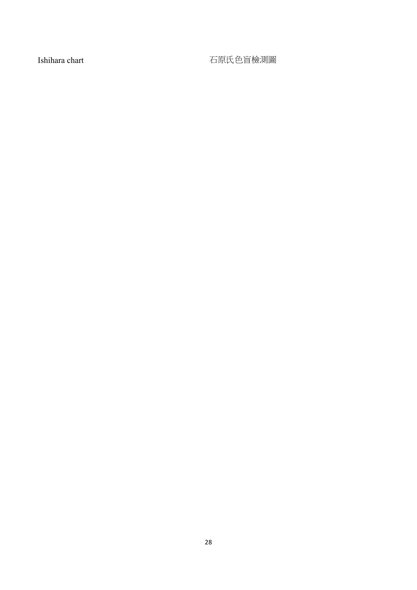Ishihara chart <br>
The contraction of the contraction of the contraction of the contraction of the contraction of the contraction of the contraction of the contraction of the contraction of the contraction of the contractio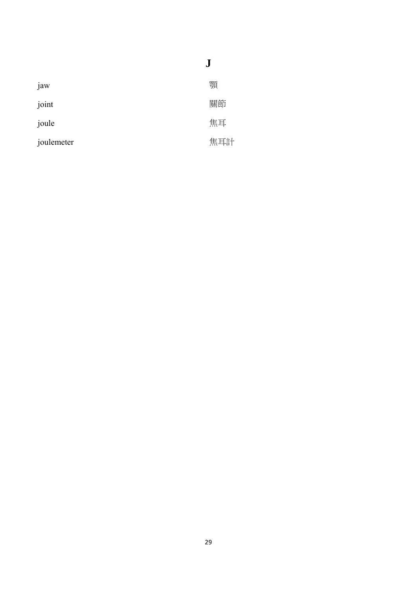|            | J   |
|------------|-----|
| jaw        | 顎   |
| joint      | 關節  |
| joule      | 焦耳  |
| joulemeter | 焦耳計 |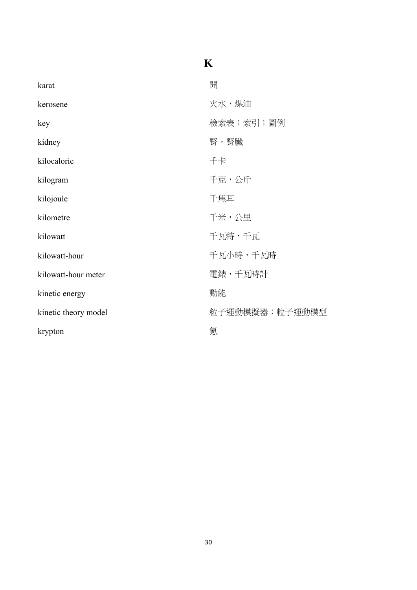#### **K**

| karat                | 開              |
|----------------------|----------------|
| kerosene             | 火水,煤油          |
| key                  | 檢索表;索引;圖例      |
| kidney               | 腎, 腎臟          |
| kilocalorie          | 千卡             |
| kilogram             | 千克,公斤          |
| kilojoule            | 千焦耳            |
| kilometre            | 千米,公里          |
| kilowatt             | 千瓦特,千瓦         |
| kilowatt-hour        | 千瓦小時,千瓦時       |
| kilowatt-hour meter  | 電錶,千瓦時計        |
| kinetic energy       | 動能             |
| kinetic theory model | 粒子運動模擬器;粒子運動模型 |
| krypton              | 氪              |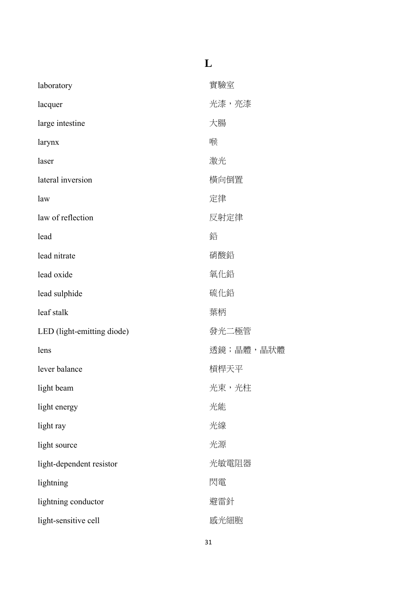#### **L**

| laboratory                 | 實驗室       |
|----------------------------|-----------|
| lacquer                    | 光漆,亮漆     |
| large intestine            | 大腸        |
| larynx                     | 喉         |
| laser                      | 激光        |
| lateral inversion          | 橫向倒置      |
| law                        | 定律        |
| law of reflection          | 反射定律      |
| lead                       | 鉛         |
| lead nitrate               | 硝酸鉛       |
| lead oxide                 | 氧化鉛       |
| lead sulphide              | 硫化鉛       |
| leaf stalk                 | 葉柄        |
| LED (light-emitting diode) | 發光二極管     |
| lens                       | 透鏡;晶體,晶狀體 |
| lever balance              | 槓桿天平      |
| light beam                 | 光束,光柱     |
| light energy               | 光能        |
| light ray                  | 光線        |
| light source               | 光源        |
| light-dependent resistor   | 光敏電阻器     |
| lightning                  | 閃電        |
| lightning conductor        | 避雷針       |
| light-sensitive cell       | 感光細胞      |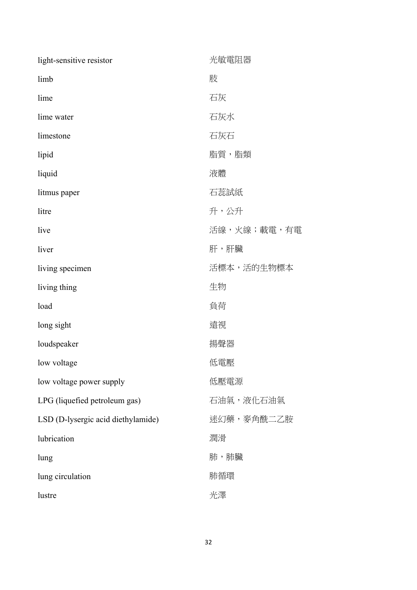| light-sensitive resistor           | 光敏電阻器       |
|------------------------------------|-------------|
| limb                               | 肢           |
| lime                               | 石灰          |
| lime water                         | 石灰水         |
| limestone                          | 石灰石         |
| lipid                              | 脂質,脂類       |
| liquid                             | 液體          |
| litmus paper                       | 石蕊試紙        |
| litre                              | 升,公升        |
| live                               | 活線,火線;載電,有電 |
| liver                              | 肝,肝臟        |
| living specimen                    | 活標本,活的生物標本  |
| living thing                       | 生物          |
| load                               | 負荷          |
|                                    |             |
| long sight                         | 遠視          |
| loudspeaker                        | 揚聲器         |
| low voltage                        | 低電壓         |
| low voltage power supply           | 低壓電源        |
| LPG (liquefied petroleum gas)      | 石油氣,液化石油氣   |
| LSD (D-lysergic acid diethylamide) | 迷幻藥,麥角酰二乙胺  |
| lubrication                        | 潤滑          |
| lung                               | 肺,肺臟        |
| lung circulation                   | 肺循環         |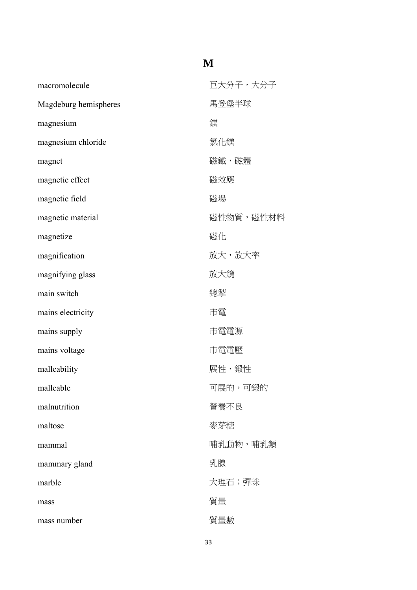#### **M**

| macromolecule         | 巨大分子,大分子  |
|-----------------------|-----------|
| Magdeburg hemispheres | 馬登堡半球     |
| magnesium             | 鎂         |
| magnesium chloride    | 氯化鎂       |
| magnet                | 磁鐵,磁體     |
| magnetic effect       | 磁效應       |
| magnetic field        | 磁場        |
| magnetic material     | 磁性物質,磁性材料 |
| magnetize             | 磁化        |
| magnification         | 放大,放大率    |
| magnifying glass      | 放大鏡       |
| main switch           | 總掣        |
| mains electricity     | 市電        |
| mains supply          | 市電電源      |
| mains voltage         | 市電電壓      |
| malleability          | 展性,鍛性     |
| malleable             | 可展的,可鍛的   |
| malnutrition          | 營養不良      |
| maltose               | 麥芽糖       |
| mammal                | 哺乳動物,哺乳類  |
| mammary gland         | 乳腺        |
| marble                | 大理石;彈珠    |
| mass                  | 質量        |
| mass number           | 質量數       |

33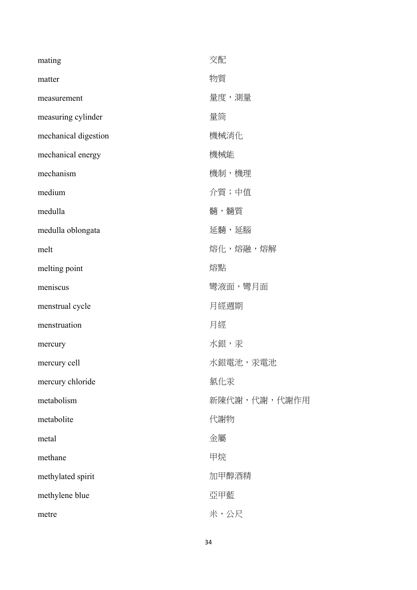| mating               | 交配           |
|----------------------|--------------|
| matter               | 物質           |
| measurement          | 量度,測量        |
| measuring cylinder   | 量筒           |
| mechanical digestion | 機械消化         |
| mechanical energy    | 機械能          |
| mechanism            | 機制,機理        |
| medium               | 介質;中值        |
| medulla              | 髓, 髓質        |
| medulla oblongata    | 延髓,延腦        |
| melt                 | 熔化,熔融,熔解     |
| melting point        | 熔點           |
| meniscus             | 彎液面,彎月面      |
| menstrual cycle      | 月經週期         |
| menstruation         | 月經           |
| mercury              | 水銀,汞         |
| mercury cell         | 水銀電池,汞電池     |
| mercury chloride     | 氯化汞          |
| metabolism           | 新陳代謝,代謝,代謝作用 |
| metabolite           | 代謝物          |
| metal                | 金屬           |
| methane              | 甲烷           |
| methylated spirit    | 加甲醇酒精        |
| methylene blue       | 亞甲藍          |
| metre                | 米,公尺         |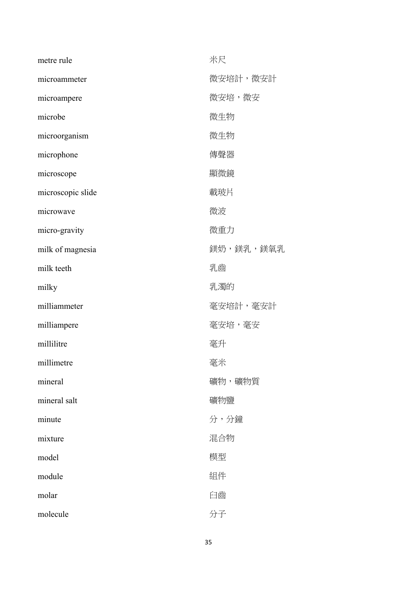| metre rule        | 米尺        |
|-------------------|-----------|
| microammeter      | 微安培計,微安計  |
| microampere       | 微安培,微安    |
| microbe           | 微生物       |
| microorganism     | 微生物       |
| microphone        | 傳聲器       |
| microscope        | 顯微鏡       |
| microscopic slide | 載玻片       |
| microwave         | 微波        |
| micro-gravity     | 微重力       |
| milk of magnesia  | 鎂奶,鎂乳,鎂氧乳 |
| milk teeth        | 乳齒        |
| milky             | 乳濁的       |
| milliammeter      | 毫安培計,毫安計  |
| milliampere       | 毫安培,毫安    |
| millilitre        | 毫升        |
| millimetre        | 毫米        |
| mineral           | 礦物,礦物質    |
| mineral salt      | 礦物鹽       |
| minute            | 分,分鐘      |
| mixture           | 混合物       |
| model             | 模型        |
| module            | 組件        |
| molar             | 臼齒        |
| molecule          | 分子        |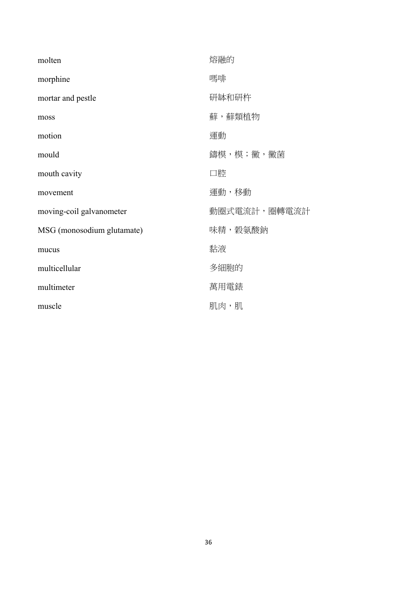| molten                     | 熔融的          |
|----------------------------|--------------|
| morphine                   | 嗎啡           |
| mortar and pestle          | 研缽和研杵        |
| moss                       | 蘚,蘚類植物       |
| motion                     | 運動           |
| mould                      | 鑄模,模;黴,黴菌    |
| mouth cavity               | 口腔           |
| movement                   | 運動,移動        |
| moving-coil galvanometer   | 動圈式電流計,圈轉電流計 |
| MSG (monosodium glutamate) | 味精,穀氨酸鈉      |
| mucus                      | 黏液           |
| multicellular              | 多細胞的         |
| multimeter                 | 萬用電錶         |
| muscle                     | 肌肉,肌         |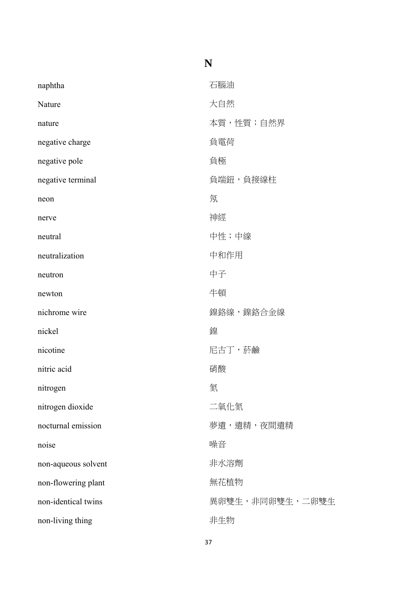| naphtha             | 石腦油             |
|---------------------|-----------------|
| Nature              | 大自然             |
| nature              | 本質,性質;自然界       |
| negative charge     | 負電荷             |
| negative pole       | 負極              |
| negative terminal   | 負端鈕,負接線柱        |
| neon                | 氖               |
| nerve               | 神經              |
| neutral             | 中性;中線           |
| neutralization      | 中和作用            |
| neutron             | 中子              |
| newton              | 牛頓              |
| nichrome wire       | 鎳鉻線,鎳鉻合金線       |
| nickel              | 鎳               |
| nicotine            | 尼古丁,菸鹼          |
| nitric acid         | 硝酸              |
| nitrogen            | 氦               |
| nitrogen dioxide    | 二氧化氮            |
| nocturnal emission  | 夢遺,遺精,夜間遺精      |
| noise               | 噪音              |
| non-aqueous solvent | 非水溶劑            |
| non-flowering plant | 無花植物            |
| non-identical twins | 異卵雙生,非同卵雙生,二卵雙生 |
| non-living thing    | 非生物             |

#### **N**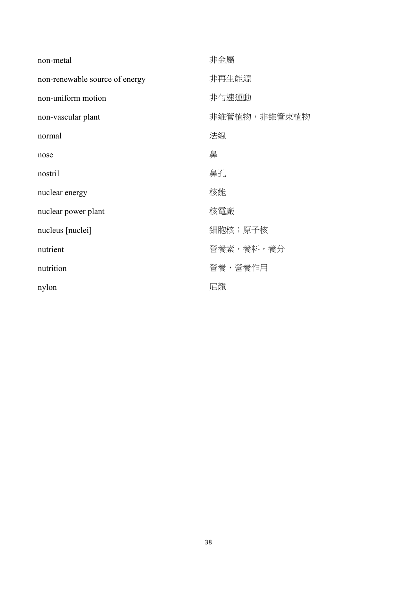| non-metal                      | 非金屬          |
|--------------------------------|--------------|
| non-renewable source of energy | 非再生能源        |
| non-uniform motion             | 非勻速運動        |
| non-vascular plant             | 非維管植物,非維管束植物 |
| normal                         | 法線           |
| nose                           | 鼻            |
| nostril                        | 鼻孔           |
| nuclear energy                 | 核能           |
| nuclear power plant            | 核電廠          |
| nucleus [nuclei]               | 細胞核;原子核      |
| nutrient                       | 營養素,養料,養分    |
| nutrition                      | 營養,營養作用      |
| nylon                          | 尼龍           |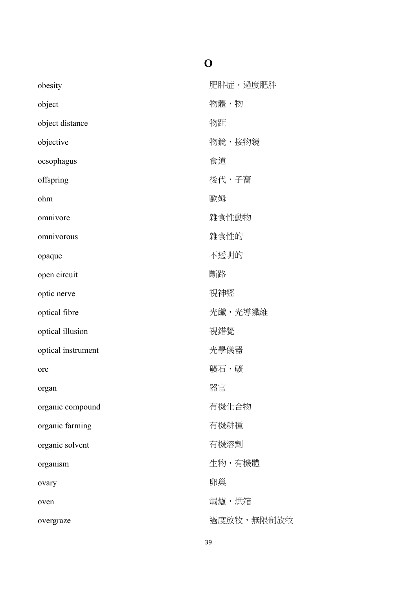#### **O**

| obesity            | 肥胖症,過度肥胖   |
|--------------------|------------|
| object             | 物體,物       |
| object distance    | 物距         |
| objective          | 物鏡,接物鏡     |
| oesophagus         | 食道         |
| offspring          | 後代,子裔      |
| ohm                | 歐姆         |
| omnivore           | 雜食性動物      |
| omnivorous         | 雜食性的       |
| opaque             | 不透明的       |
| open circuit       | 斷路         |
| optic nerve        | 視神經        |
| optical fibre      | 光纖,光導纖維    |
| optical illusion   | 視錯覺        |
| optical instrument | 光學儀器       |
| ore                | 礦石,礦       |
| organ              | 器官         |
| organic compound   | 有機化合物      |
| organic farming    | 有機耕種       |
| organic solvent    | 有機溶劑       |
| organism           | 生物,有機體     |
| ovary              | 卵巢         |
| oven               | 焗爐,烘箱      |
| overgraze          | 過度放牧,無限制放牧 |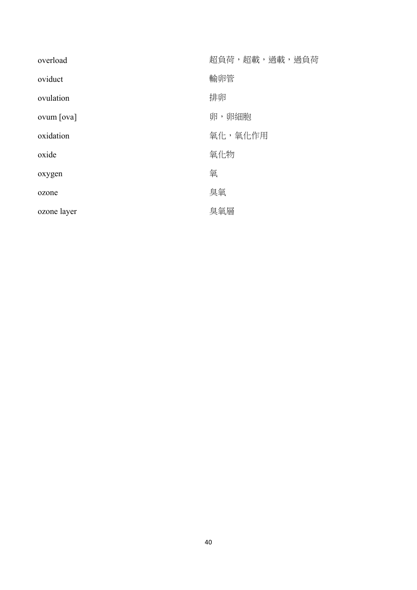| overload    | 超負荷,超載,過載,過負荷 |
|-------------|---------------|
| oviduct     | 輸卵管           |
| ovulation   | 排卵            |
| ovum [ova]  | 卵,卵細胞         |
| oxidation   | 氧化,氧化作用       |
| oxide       | 氧化物           |
| oxygen      | 氧             |
| ozone       | 臭氧            |
| ozone layer | 臭氧層           |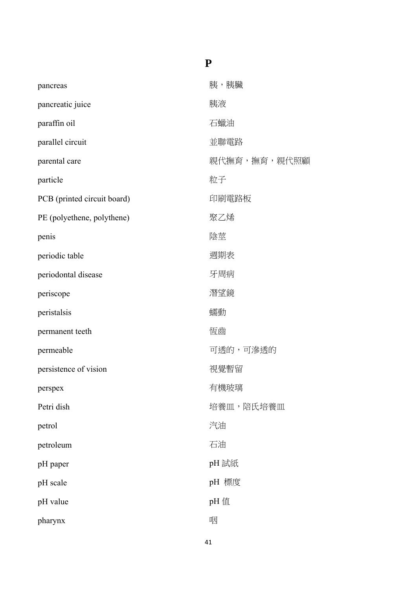| pancreas                    | 胰,胰臟         |
|-----------------------------|--------------|
| pancreatic juice            | 胰液           |
| paraffin oil                | 石蠟油          |
| parallel circuit            | 並聯電路         |
| parental care               | 親代撫育,撫育,親代照顧 |
| particle                    | 粒子           |
| PCB (printed circuit board) | 印刷電路板        |
| PE (polyethene, polythene)  | 聚乙烯          |
| penis                       | 陰莖           |
| periodic table              | 週期表          |
| periodontal disease         | 牙周病          |
| periscope                   | 潛望鏡          |
| peristalsis                 | 蠕動           |
| permanent teeth             | 恆齒           |
| permeable                   | 可透的,可渗透的     |
| persistence of vision       | 視覺暫留         |
| perspex                     | 有機玻璃         |
| Petri dish                  | 培養皿,陪氏培養皿    |
| petrol                      | 汽油           |
| petroleum                   | 石油           |
| pH paper                    | pH 試紙        |
| pH scale                    | pH 標度        |
| pH value                    | pH 值         |
| pharynx                     | 咽            |

#### **P**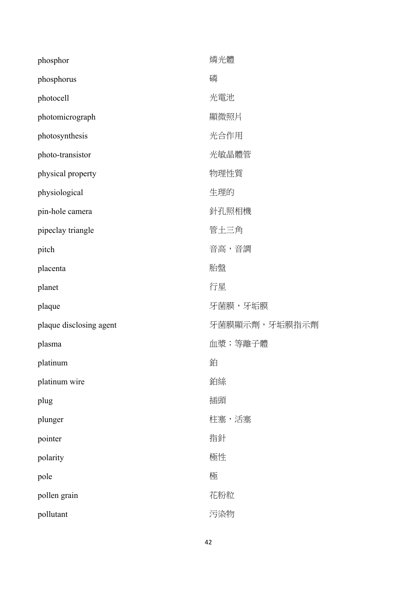| phosphor                | 燐光體           |
|-------------------------|---------------|
| phosphorus              | 磷             |
| photocell               | 光電池           |
| photomicrograph         | 顯微照片          |
| photosynthesis          | 光合作用          |
| photo-transistor        | 光敏晶體管         |
| physical property       | 物理性質          |
| physiological           | 生理的           |
| pin-hole camera         | 針孔照相機         |
| pipeclay triangle       | 管土三角          |
| pitch                   | 音高,音調         |
| placenta                | 胎盤            |
| planet                  | 行星            |
| plaque                  | 牙菌膜,牙垢膜       |
| plaque disclosing agent | 牙菌膜顯示劑,牙垢膜指示劑 |
| plasma                  | 血漿; 等離子體      |
| platinum                | 鉑             |
| platinum wire           | 鉑絲            |
| plug                    | 插頭            |
| plunger                 | 柱塞,活塞         |
| pointer                 | 指針            |
| polarity                | 極性            |
| pole                    | 極             |
| pollen grain            | 花粉粒           |
| pollutant               | 污染物           |

42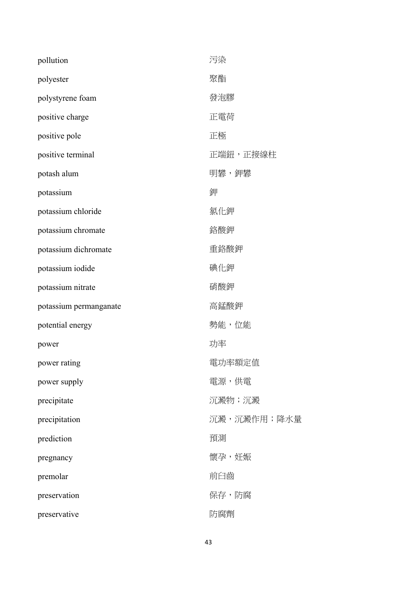| pollution              | 污染          |
|------------------------|-------------|
| polyester              | 聚酯          |
| polystyrene foam       | 發泡膠         |
| positive charge        | 正電荷         |
| positive pole          | 正極          |
| positive terminal      | 正端鈕,正接線柱    |
| potash alum            | 明礬,鉀礬       |
| potassium              | 鉀           |
| potassium chloride     | 氯化鉀         |
| potassium chromate     | 銘酸鉀         |
| potassium dichromate   | 重鉻酸鉀        |
| potassium iodide       | 碘化鉀         |
| potassium nitrate      | 硝酸鉀         |
| potassium permanganate | 高錳酸鉀        |
| potential energy       | 勢能,位能       |
| power                  | 功率          |
| power rating           | 電功率額定值      |
| power supply           | 電源,供電       |
| precipitate            | 沉澱物;沉澱      |
| precipitation          | 沉澱,沉澱作用;降水量 |
| prediction             | 預測          |
| pregnancy              | 懷孕,妊娠       |
| premolar               | 前臼齒         |
| preservation           | 保存,防腐       |
| preservative           | 防腐劑         |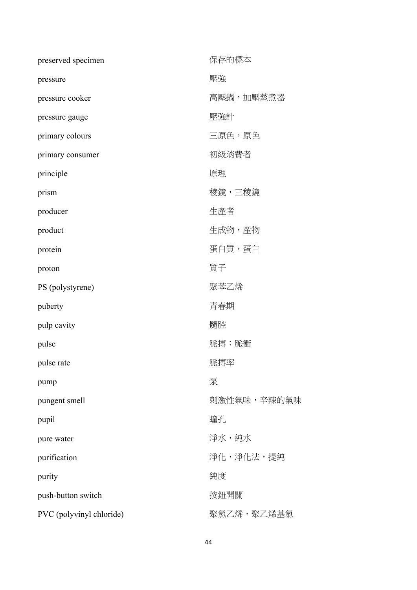| preserved specimen       | 保存的標本       |
|--------------------------|-------------|
| pressure                 | 壓強          |
| pressure cooker          | 高壓鍋,加壓蒸煮器   |
| pressure gauge           | 壓強計         |
| primary colours          | 三原色,原色      |
| primary consumer         | 初級消費者       |
| principle                | 原理          |
| prism                    | 稜鏡,三稜鏡      |
| producer                 | 生產者         |
| product                  | 生成物,產物      |
| protein                  | 蛋白質,蛋白      |
| proton                   | 質子          |
| PS (polystyrene)         | 聚苯乙烯        |
| puberty                  | 青春期         |
| pulp cavity              | 髓腔          |
| pulse                    | 脈搏;脈衝       |
| pulse rate               | 脈搏率         |
| pump                     | 泵           |
| pungent smell            | 刺激性氣味,辛辣的氣味 |
| pupil                    | 瞳孔          |
| pure water               | 淨水,純水       |
| purification             | 淨化,淨化法,提純   |
| purity                   | 純度          |
| push-button switch       | 按鈕開關        |
| PVC (polyvinyl chloride) | 聚氯乙烯,聚乙烯基氯  |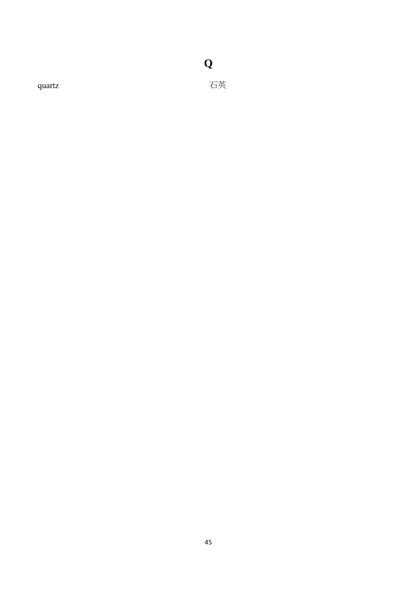quartz **the contract of the contract of the contract of the contract of the contract of the contract of the contract** 

**Q**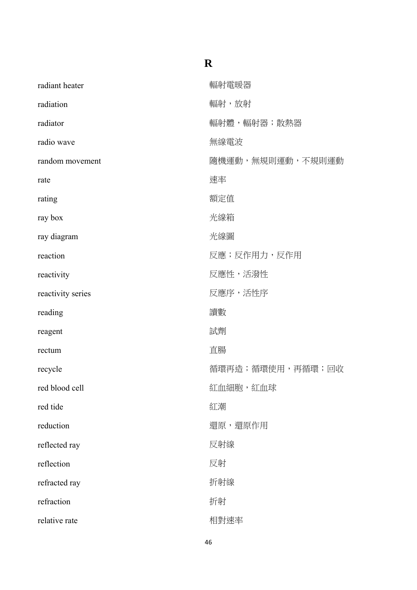#### **R**

| radiant heater    | 輻射電暖器            |
|-------------------|------------------|
| radiation         | 輻射,放射            |
| radiator          | 輻射體,輻射器;散熱器      |
| radio wave        | 無線電波             |
| random movement   | 隨機運動,無規則運動,不規則運動 |
| rate              | 速率               |
| rating            | 額定值              |
| ray box           | 光線箱              |
| ray diagram       | 光線圖              |
| reaction          | 反應;反作用力,反作用      |
| reactivity        | 反應性,活潑性          |
| reactivity series | 反應序,活性序          |
|                   |                  |
| reading           | 讀數               |
| reagent           | 試劑               |
| rectum            | 直腸               |
| recycle           | 循環再造;循環使用,再循環;回收 |
| red blood cell    | 紅血細胞,紅血球         |
| red tide          | 紅潮               |
| reduction         | 還原,還原作用          |
| reflected ray     | 反射線              |
| reflection        | 反射               |
| refracted ray     | 折射線              |
| refraction        | 折射               |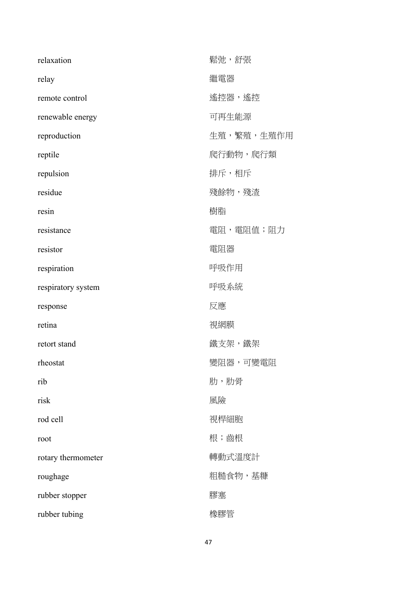| relaxation         | 鬆弛,舒張      |
|--------------------|------------|
| relay              | 繼電器        |
| remote control     | 遙控器,遙控     |
| renewable energy   | 可再生能源      |
| reproduction       | 生殖,繁殖,生殖作用 |
| reptile            | 爬行動物,爬行類   |
| repulsion          | 排斥,相斥      |
| residue            | 殘餘物,殘渣     |
| resin              | 樹脂         |
| resistance         | 電阻,電阻值;阻力  |
| resistor           | 電阻器        |
| respiration        | 呼吸作用       |
| respiratory system | 呼吸系統       |
| response           | 反應         |
| retina             | 視網膜        |
| retort stand       | 鐵支架,鐵架     |
| rheostat           | 變阻器,可變電阻   |
| rib                | 肋,肋骨       |
| risk               | 風險         |
| rod cell           | 視桿細胞       |
| root               | 根; 齒根      |
| rotary thermometer | 轉動式溫度計     |
| roughage           | 粗糙食物,基糠    |
| rubber stopper     | 膠塞         |
| rubber tubing      | 橡膠管        |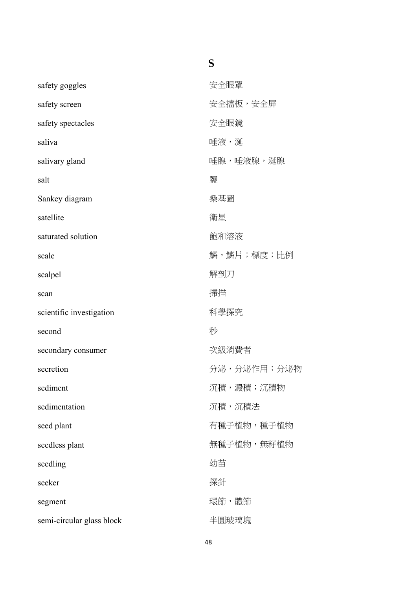#### **S**

| safety goggles            | 安全眼罩        |
|---------------------------|-------------|
| safety screen             | 安全擋板,安全屏    |
| safety spectacles         | 安全眼鏡        |
| saliva                    | 唾液,涎        |
| salivary gland            | 唾腺,唾液腺,涎腺   |
| salt                      | 鹽           |
| Sankey diagram            | 桑基圖         |
| satellite                 | 衛星          |
| saturated solution        | 飽和溶液        |
| scale                     | 鱗,鱗片;標度;比例  |
| scalpel                   | 解剖刀         |
| scan                      | 掃描          |
| scientific investigation  | 科學探究        |
| second                    | 秒           |
| secondary consumer        | 次級消費者       |
| secretion                 | 分泌,分泌作用;分泌物 |
| sediment                  | 沉積,澱積;沉積物   |
| sedimentation             | 沉積,沉積法      |
| seed plant                | 有種子植物,種子植物  |
| seedless plant            | 無種子植物,無籽植物  |
| seedling                  | 幼苗          |
| seeker                    | 探針          |
| segment                   | 環節,體節       |
| semi-circular glass block | 半圓玻璃塊       |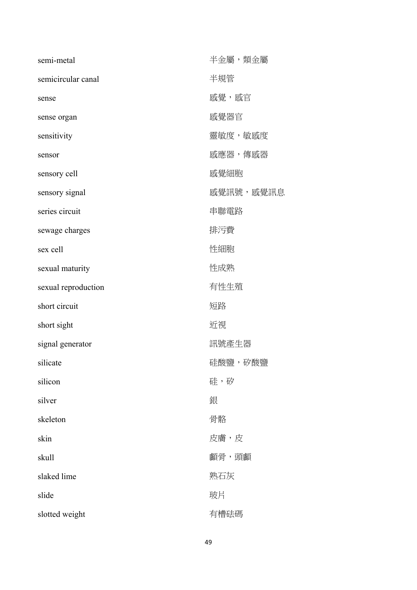| semi-metal          | 半金屬,類金屬   |
|---------------------|-----------|
| semicircular canal  | 半規管       |
| sense               | 感覺,感官     |
| sense organ         | 感覺器官      |
| sensitivity         | 靈敏度,敏感度   |
| sensor              | 感應器,傳感器   |
| sensory cell        | 感覺細胞      |
| sensory signal      | 感覺訊號,感覺訊息 |
| series circuit      | 串聯電路      |
| sewage charges      | 排污費       |
| sex cell            | 性細胞       |
| sexual maturity     | 性成熟       |
| sexual reproduction | 有性生殖      |
| short circuit       | 短路        |
| short sight         | 近視        |
| signal generator    | 訊號產生器     |
| silicate            | 硅酸鹽,矽酸鹽   |
| silicon             | 硅,矽       |
| silver              | 銀         |
| skeleton            | 骨骼        |
| skin                | 皮膚,皮      |
| skull               | 顱骨,頭顱     |
| slaked lime         | 熟石灰       |
| slide               | 玻片        |
| slotted weight      | 有槽砝碼      |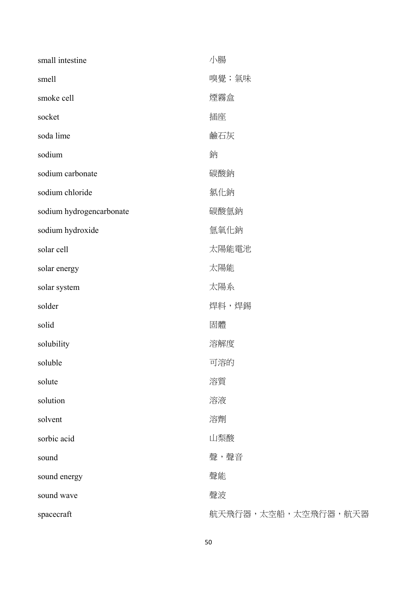| small intestine          | 小腸                  |
|--------------------------|---------------------|
| smell                    | 嗅覺;氣味               |
| smoke cell               | 煙霧盒                 |
| socket                   | 插座                  |
| soda lime                | 鹼石灰                 |
| sodium                   | 鈉                   |
| sodium carbonate         | 碳酸鈉                 |
| sodium chloride          | 氯化鈉                 |
| sodium hydrogencarbonate | 碳酸氫鈉                |
| sodium hydroxide         | 氫氧化鈉                |
| solar cell               | 太陽能電池               |
| solar energy             | 太陽能                 |
| solar system             | 太陽系                 |
| solder                   | 焊料,焊錫               |
| solid                    | 固體                  |
| solubility               | 溶解度                 |
| soluble                  | 可溶的                 |
| solute                   | 溶質                  |
| solution                 | 溶液                  |
| solvent                  | 溶劑                  |
| sorbic acid              | 山梨酸                 |
| sound                    | 聲,聲音                |
| sound energy             | 聲能                  |
| sound wave               | 聲波                  |
| spacecraft               | 航天飛行器,太空船,太空飛行器,航天器 |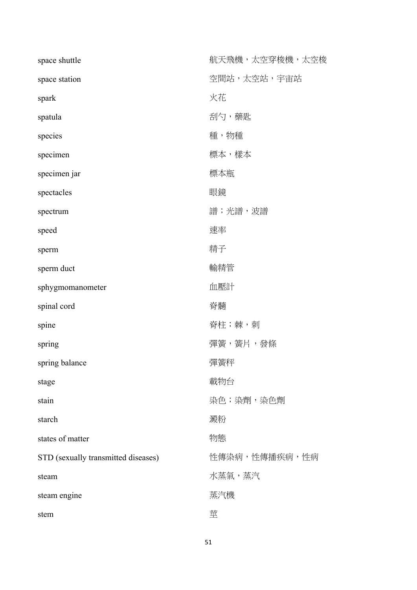| space shuttle                       | 航天飛機,太空穿梭機,太空梭 |
|-------------------------------------|----------------|
| space station                       | 空間站,太空站,宇宙站    |
| spark                               | 火花             |
| spatula                             | 刮勺,藥匙          |
| species                             | 種,物種           |
| specimen                            | 標本,樣本          |
| specimen jar                        | 標本瓶            |
| spectacles                          | 眼鏡             |
| spectrum                            | 譜;光譜,波譜        |
| speed                               | 速率             |
| sperm                               | 精子             |
| sperm duct                          | 輸精管            |
| sphygmomanometer                    | 血壓計            |
| spinal cord                         | 脊髓             |
| spine                               | 脊柱;棘,刺         |
| spring                              | 彈簧,簧片,發條       |
| spring balance                      | 彈簧秤            |
| stage                               | 載物台            |
| stain                               | 染色;染劑,染色劑      |
| starch                              | 澱粉             |
| states of matter                    | 物態             |
| STD (sexually transmitted diseases) | 性傳染病,性傳播疾病,性病  |
| steam                               | 水蒸氣,蒸汽         |
| steam engine                        | 蒸汽機            |
| stem                                | 莖              |

51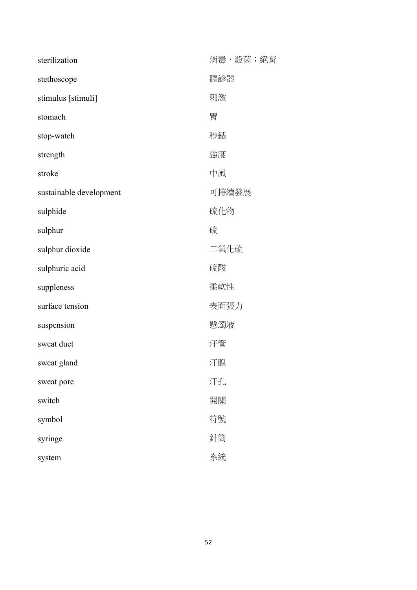| sterilization           | 消毒,殺菌;絕育 |
|-------------------------|----------|
| stethoscope             | 聽診器      |
| stimulus [stimuli]      | 刺激       |
| stomach                 | 胃        |
| stop-watch              | 秒錶       |
| strength                | 強度       |
| stroke                  | 中風       |
| sustainable development | 可持續發展    |
| sulphide                | 硫化物      |
| sulphur                 | 硫        |
| sulphur dioxide         | 二氧化硫     |
| sulphuric acid          | 硫酸       |
| suppleness              | 柔軟性      |
| surface tension         | 表面張力     |
| suspension              | 懸濁液      |
| sweat duct              | 汗管       |
| sweat gland             | 汗腺       |
| sweat pore              | 汗孔       |
| switch                  | 開關       |
| symbol                  | 符號       |
| syringe                 | 針筒       |
| system                  | 系統       |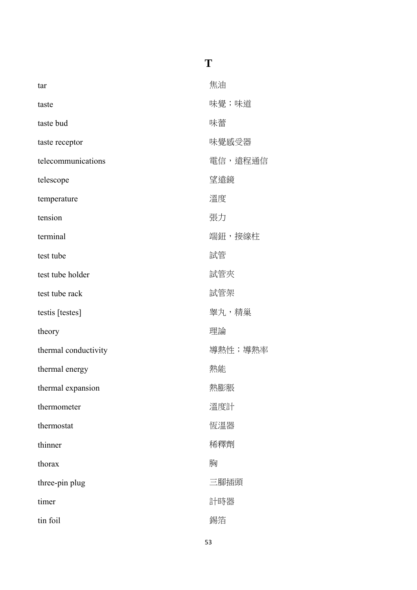#### **T**

| tar                  | 焦油      |
|----------------------|---------|
| taste                | 味覺;味道   |
| taste bud            | 味蕾      |
| taste receptor       | 味覺感受器   |
| telecommunications   | 電信,遠程通信 |
| telescope            | 望遠鏡     |
| temperature          | 溫度      |
| tension              | 張力      |
| terminal             | 端鈕,接線柱  |
| test tube            | 試管      |
| test tube holder     | 試管夾     |
| test tube rack       | 試管架     |
|                      |         |
| testis [testes]      | 睾丸,精巢   |
| theory               | 理論      |
| thermal conductivity | 導熱性;導熱率 |
| thermal energy       | 熱能      |
| thermal expansion    | 熱膨脹     |
| thermometer          | 溫度計     |
| thermostat           | 恆溫器     |
| thinner              | 稀釋劑     |
| thorax               | 胸       |
| three-pin plug       | 三腳插頭    |
| timer                | 計時器     |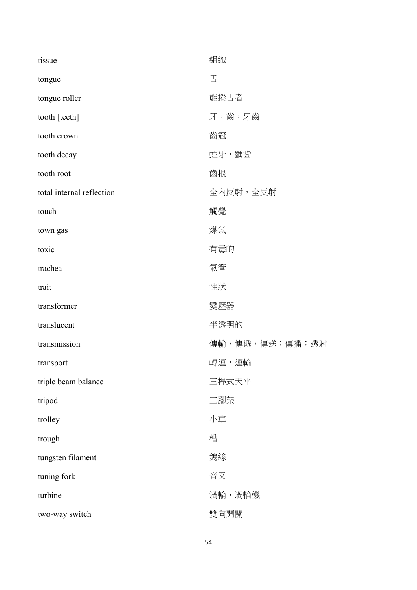| tissue                    | 組織             |
|---------------------------|----------------|
| tongue                    | 舌              |
| tongue roller             | 能捲舌者           |
| tooth [teeth]             | 牙,齒,牙齒         |
| tooth crown               | 齒冠             |
| tooth decay               | 蛀牙,齲齒          |
| tooth root                | 齒根             |
| total internal reflection | 全内反射,全反射       |
| touch                     | 觸覺             |
| town gas                  | 煤氣             |
| toxic                     | 有毒的            |
| trachea                   | 氣管             |
| trait                     | 性狀             |
| transformer               | 變壓器            |
| translucent               | 半透明的           |
| transmission              | 傳輸,傳遞,傳送;傳播;透射 |
| transport                 | 轉運,運輸          |
| triple beam balance       | 三桿式天平          |
| tripod                    | 三腳架            |
| trolley                   | 小車             |
| trough                    | 槽              |
| tungsten filament         | 鵭絲             |
| tuning fork               | 音叉             |
| turbine                   | 渦輪,渦輪機         |
| two-way switch            | 雙向開關           |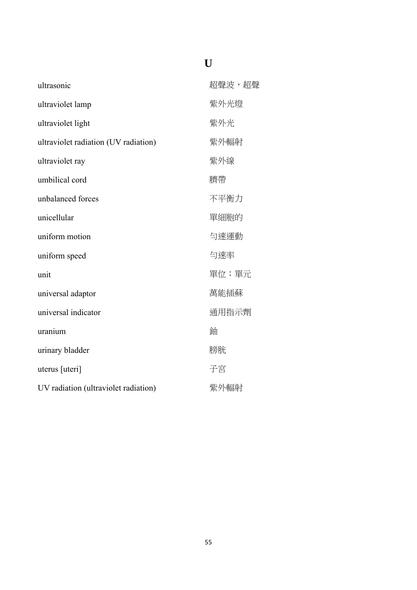| ultrasonic                           | 超聲波,超聲 |
|--------------------------------------|--------|
| ultraviolet lamp                     | 紫外光燈   |
| ultraviolet light                    | 紫外光    |
| ultraviolet radiation (UV radiation) | 紫外輻射   |
| ultraviolet ray                      | 紫外線    |
| umbilical cord                       | 臍帶     |
| unbalanced forces                    | 不平衡力   |
| unicellular                          | 單細胞的   |
| uniform motion                       | 勻速運動   |
| uniform speed                        | 勻速率    |
| unit                                 | 單位;單元  |
| universal adaptor                    | 萬能插蘇   |
| universal indicator                  | 通用指示劑  |
| uranium                              | 鈾      |
| urinary bladder                      | 膀胱     |
| uterus [uteri]                       | 子宮     |
| UV radiation (ultraviolet radiation) | 紫外輻射   |

## **U**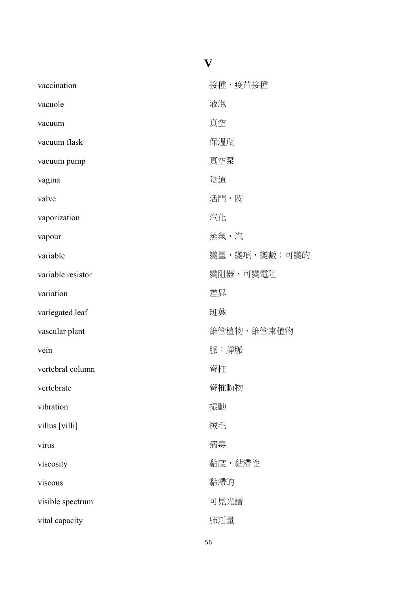| vaccination       | 接種,疫苗接種      |
|-------------------|--------------|
| vacuole           | 液泡           |
| vacuum            | 真空           |
| vacuum flask      | 保溫瓶          |
| vacuum pump       | 真空泵          |
| vagina            | 陰道           |
| valve             | 活門,閥         |
| vaporization      | 汽化           |
| vapour            | 蒸氣,汽         |
| variable          | 變量,變項,變數;可變的 |
| variable resistor | 變阻器,可變電阻     |
| variation         | 差異           |
| variegated leaf   | 斑葉           |
| vascular plant    | 維管植物,維管束植物   |
| vein              | 脈;靜脈         |
| vertebral column  | 脊柱           |
| vertebrate        | 脊椎動物         |
| vibration         | 振動           |
| villus [villi]    | 絨毛           |
| virus             | 病毒           |
| viscosity         | 黏度,黏滯性       |
| viscous           | 黏滯的          |
| visible spectrum  | 可見光譜         |
| vital capacity    | 肺活量          |

**V** 

$$
56\,
$$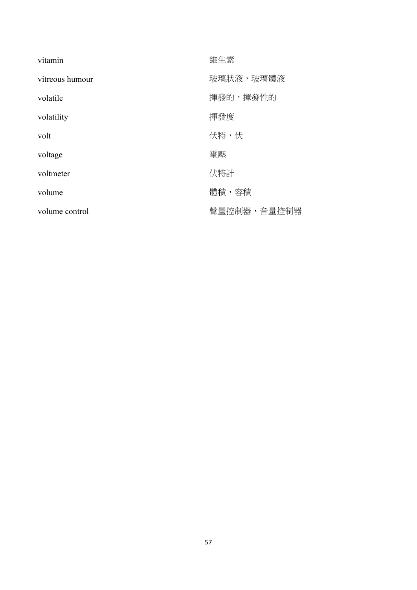| vitamin         | 維生素         |
|-----------------|-------------|
| vitreous humour | 玻璃狀液,玻璃體液   |
| volatile        | 揮發的,揮發性的    |
| volatility      | 揮發度         |
| volt            | 伏特,伏        |
| voltage         | 電壓          |
| voltmeter       | 伏特計         |
| volume          | 體積,容積       |
| volume control  | 聲量控制器,音量控制器 |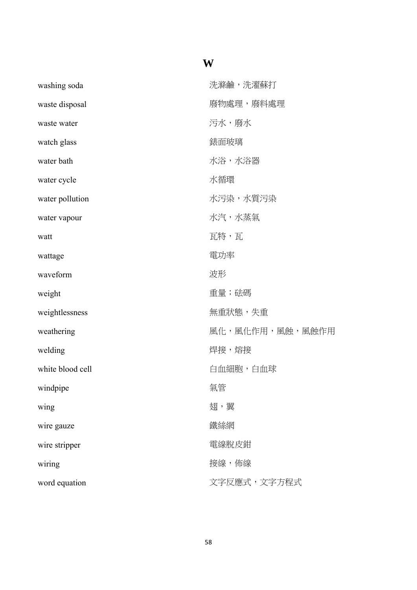# washing soda https://www.washing soda https://www.washing soda waste disposal https://www.waste disposal books are not been been been by only in Fig. 2.5 million in Fig. 2.5 million in Fig. 2.5 million in Fig. 2.5 million in Fig. 2.5 million in Fig. 2.5 million in Fig. 2.5 million in waste water  $\overline{\mathbb{R}}$  waste water watch glass <br> **a**<br> **the glass** <br> **the glass** <br> **the glass** <br> **the glass** <br> **the glass** <br> **the glass** <br> **the glass** <br> **the glass** <br> **the glass** <br> **the glass** <br> **the glass** <br> **f** water bath Water bath Water bath Water and Water and Water and Water and Water and Water and Water and Water a water cycle **the cycle** to the control of the control of the control of the control of the control of the control water pollution <br>
http://www.water pollution <br>
http://www.water pollution <br>
intervals and the matrix of the matrix of the matrix of the matrix of the matrix of the matrix of the matrix of the matrix of the matrix of the m water vapour https://www.water.com/water.com/water/water/water/water/water/water/water/water/water/w watt **Karlotter Transferred** Transferred Transferred Transferred Transferred Transferred Transferred Transferred wattage **the controller of the controller of the controller of the controller of the controller of the controller** waveform 波形 weight **the contract of the contract of the contract of the contract of the contract of the contract of the contract** weightlessness <br>  $\label{eq:K1} \begin{split} \text{weightlessness} \end{split}$ weathering <br> **Industrial manufacturer and manufacturer and manufacturer and manufacturer and manufacturer and manufacturer** and manufacturer and manufacturer and manufacturer and manufacturer and manufacturer and manufact welding welding the contract of the contract of the contract of the contract of the contract of the contract of the contract of the contract of the contract of the contract of the contract of the contract of the contract white blood cell <br>
http://www.com/default/blood cell <br>
definition of the community of the community of the community of the community of the community of the community of the community of the community of the community of windpipe **氟管** wing **be a contract of the contract of the contract of the contract of the contract of the contract of the contract** wire gauze **the contract of the contract of the contract of the contract of the contract of the contract of the** wire stripper 電線脫皮鉗 wiring Wiring State State State State State State 接線,佈線 word equation http://www.com/dequation books of the contract of the contract of the contract of the contract o

**W**